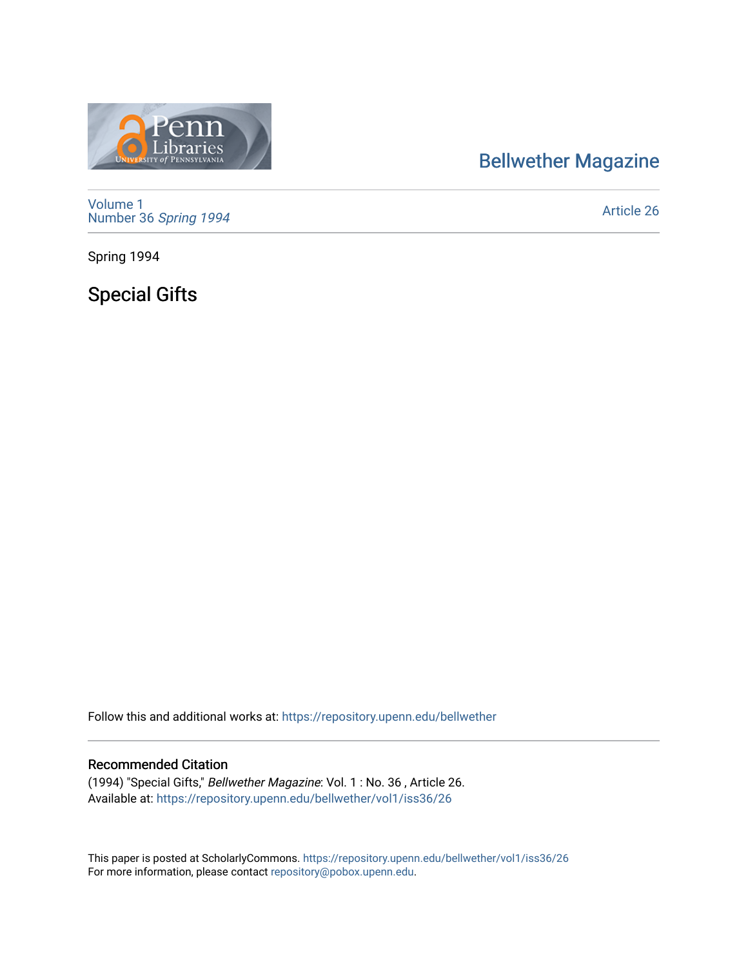## [Bellwether Magazine](https://repository.upenn.edu/bellwether)



[Volume 1](https://repository.upenn.edu/bellwether/vol1) [Number 36](https://repository.upenn.edu/bellwether/vol1/iss36) Spring 1994

[Article 26](https://repository.upenn.edu/bellwether/vol1/iss36/26) 

Spring 1994

Special Gifts

Follow this and additional works at: [https://repository.upenn.edu/bellwether](https://repository.upenn.edu/bellwether?utm_source=repository.upenn.edu%2Fbellwether%2Fvol1%2Fiss36%2F26&utm_medium=PDF&utm_campaign=PDFCoverPages) 

## Recommended Citation

(1994) "Special Gifts," Bellwether Magazine: Vol. 1 : No. 36 , Article 26. Available at: [https://repository.upenn.edu/bellwether/vol1/iss36/26](https://repository.upenn.edu/bellwether/vol1/iss36/26?utm_source=repository.upenn.edu%2Fbellwether%2Fvol1%2Fiss36%2F26&utm_medium=PDF&utm_campaign=PDFCoverPages) 

This paper is posted at ScholarlyCommons.<https://repository.upenn.edu/bellwether/vol1/iss36/26> For more information, please contact [repository@pobox.upenn.edu.](mailto:repository@pobox.upenn.edu)